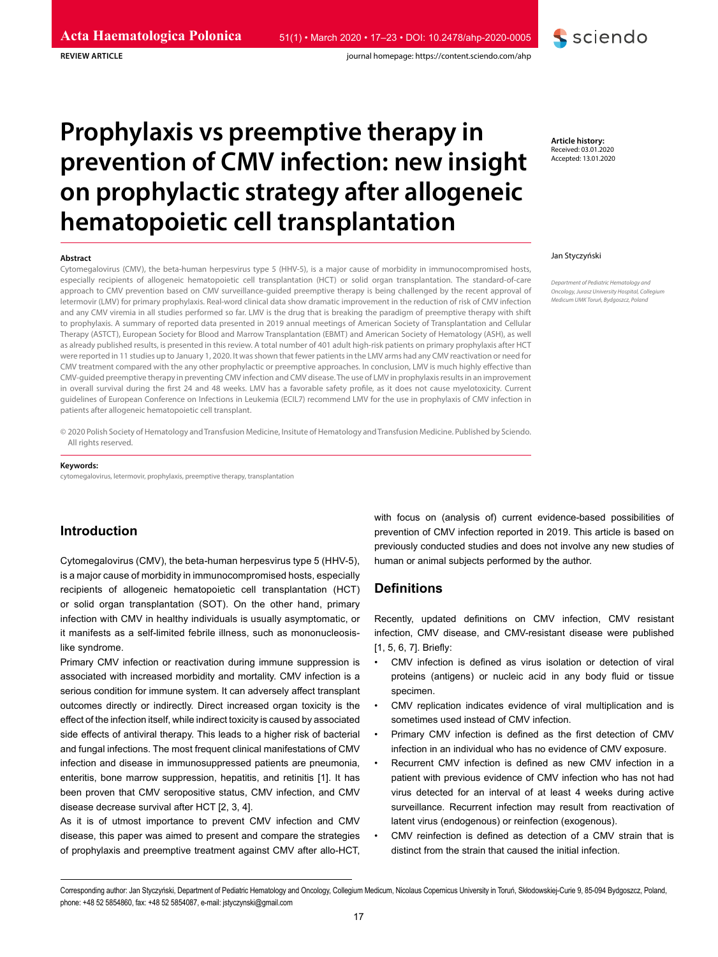# **Prophylaxis vs preemptive therapy in prevention of CMV infection: new insight on prophylactic strategy after allogeneic hematopoietic cell transplantation**

#### **Abstract**

**REVIEW ARTICLE**

Cytomegalovirus (CMV), the beta-human herpesvirus type 5 (HHV-5), is a major cause of morbidity in immunocompromised hosts, especially recipients of allogeneic hematopoietic cell transplantation (HCT) or solid organ transplantation. The standard-of-care approach to CMV prevention based on CMV surveillance-guided preemptive therapy is being challenged by the recent approval of letermovir (LMV) for primary prophylaxis. Real-word clinical data show dramatic improvement in the reduction of risk of CMV infection and any CMV viremia in all studies performed so far. LMV is the drug that is breaking the paradigm of preemptive therapy with shift to prophylaxis. A summary of reported data presented in 2019 annual meetings of American Society of Transplantation and Cellular Therapy (ASTCT), European Society for Blood and Marrow Transplantation (EBMT) and American Society of Hematology (ASH), as well as already published results, is presented in this review. A total number of 401 adult high-risk patients on primary prophylaxis after HCT were reported in 11 studies up to January 1, 2020. It was shown that fewer patients in the LMV arms had any CMV reactivation or need for CMV treatment compared with the any other prophylactic or preemptive approaches. In conclusion, LMV is much highly effective than CMV-guided preemptive therapy in preventing CMV infection and CMV disease. The use of LMV in prophylaxis results in an improvement in overall survival during the first 24 and 48 weeks. LMV has a favorable safety profile, as it does not cause myelotoxicity. Current guidelines of European Conference on Infections in Leukemia (ECIL7) recommend LMV for the use in prophylaxis of CMV infection in patients after allogeneic hematopoietic cell transplant.

© 2020 Polish Society of Hematology and Transfusion Medicine, Insitute of Hematology and Transfusion Medicine. Published by Sciendo. All rights reserved.

#### **Keywords:**

cytomegalovirus, letermovir, prophylaxis, preemptive therapy, transplantation

# **Introduction**

Cytomegalovirus (CMV), the beta-human herpesvirus type 5 (HHV-5), is a major cause of morbidity in immunocompromised hosts, especially recipients of allogeneic hematopoietic cell transplantation (HCT) or solid organ transplantation (SOT). On the other hand, primary infection with CMV in healthy individuals is usually asymptomatic, or it manifests as a self-limited febrile illness, such as mononucleosislike syndrome.

Primary CMV infection or reactivation during immune suppression is associated with increased morbidity and mortality. CMV infection is a serious condition for immune system. It can adversely affect transplant outcomes directly or indirectly. Direct increased organ toxicity is the effect of the infection itself, while indirect toxicity is caused by associated side effects of antiviral therapy. This leads to a higher risk of bacterial and fungal infections. The most frequent clinical manifestations of CMV infection and disease in immunosuppressed patients are pneumonia, enteritis, bone marrow suppression, hepatitis, and retinitis [1]. It has been proven that CMV seropositive status, CMV infection, and CMV disease decrease survival after HCT [2, 3, 4].

As it is of utmost importance to prevent CMV infection and CMV disease, this paper was aimed to present and compare the strategies of prophylaxis and preemptive treatment against CMV after allo-HCT,

with focus on (analysis of) current evidence-based possibilities of prevention of CMV infection reported in 2019. This article is based on previously conducted studies and does not involve any new studies of human or animal subjects performed by the author.

## **Definitions**

Recently, updated definitions on CMV infection, CMV resistant infection, CMV disease, and CMV-resistant disease were published [1, 5, 6, 7]. Briefly:

- CMV infection is defined as virus isolation or detection of viral proteins (antigens) or nucleic acid in any body fluid or tissue specimen.
- CMV replication indicates evidence of viral multiplication and is sometimes used instead of CMV infection.
- Primary CMV infection is defined as the first detection of CMV infection in an individual who has no evidence of CMV exposure.
- Recurrent CMV infection is defined as new CMV infection in a patient with previous evidence of CMV infection who has not had virus detected for an interval of at least 4 weeks during active surveillance. Recurrent infection may result from reactivation of latent virus (endogenous) or reinfection (exogenous).
- CMV reinfection is defined as detection of a CMV strain that is distinct from the strain that caused the initial infection.

Corresponding author: Jan Styczyński, Department of Pediatric Hematology and Oncology, Collegium Medicum, Nicolaus Copernicus University in Toruń, Skłodowskiej-Curie 9, 85-094 Bydgoszcz, Poland, phone: +48 52 5854860, fax: +48 52 5854087, e-mail: jstyczynski@gmail.com

**Article history:** Received: 03.01.2020 Accepted: 13.01.2020

#### Jan Styczyński

*Department of Pediatric Hematology and Oncology, Jurasz University Hospital, Collegium Medicum UMK Toruń, Bydgoszcz, Poland*

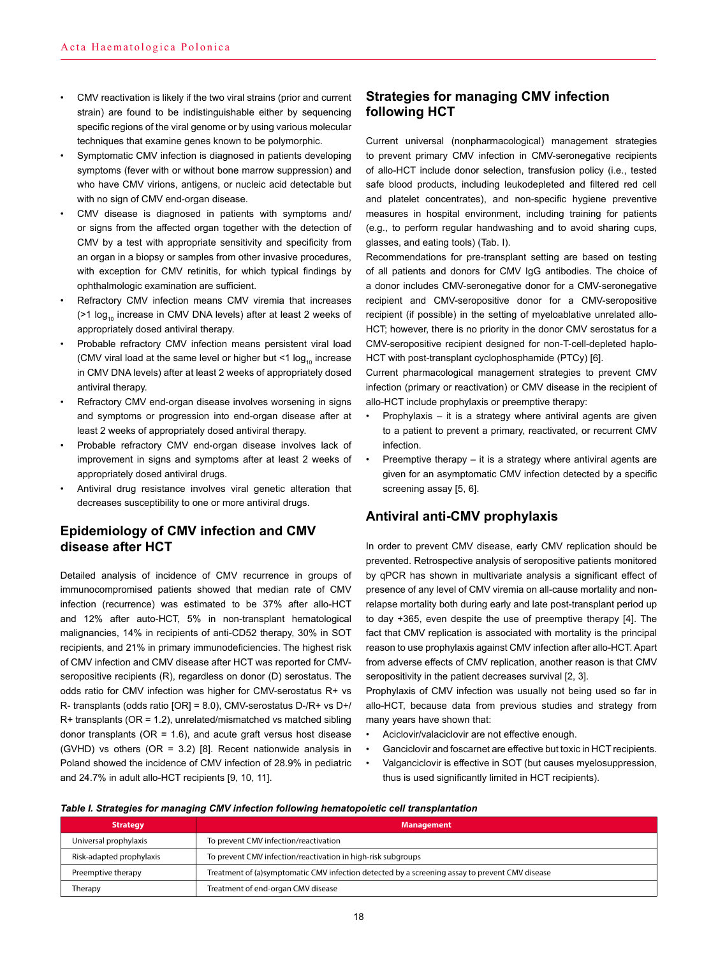- CMV reactivation is likely if the two viral strains (prior and current strain) are found to be indistinguishable either by sequencing specific regions of the viral genome or by using various molecular techniques that examine genes known to be polymorphic.
- Symptomatic CMV infection is diagnosed in patients developing symptoms (fever with or without bone marrow suppression) and who have CMV virions, antigens, or nucleic acid detectable but with no sign of CMV end-organ disease.
- CMV disease is diagnosed in patients with symptoms and/ or signs from the affected organ together with the detection of CMV by a test with appropriate sensitivity and specificity from an organ in a biopsy or samples from other invasive procedures, with exception for CMV retinitis, for which typical findings by ophthalmologic examination are sufficient.
- Refractory CMV infection means CMV viremia that increases  $($ >1 log<sub>10</sub> increase in CMV DNA levels) after at least 2 weeks of appropriately dosed antiviral therapy.
- Probable refractory CMV infection means persistent viral load (CMV viral load at the same level or higher but <1  $log_{10}$  increase in CMV DNA levels) after at least 2 weeks of appropriately dosed antiviral therapy.
- Refractory CMV end-organ disease involves worsening in signs and symptoms or progression into end-organ disease after at least 2 weeks of appropriately dosed antiviral therapy.
- Probable refractory CMV end-organ disease involves lack of improvement in signs and symptoms after at least 2 weeks of appropriately dosed antiviral drugs.
- Antiviral drug resistance involves viral genetic alteration that decreases susceptibility to one or more antiviral drugs.

## **Epidemiology of CMV infection and CMV disease after HCT**

Detailed analysis of incidence of CMV recurrence in groups of immunocompromised patients showed that median rate of CMV infection (recurrence) was estimated to be 37% after allo-HCT and 12% after auto-HCT, 5% in non-transplant hematological malignancies, 14% in recipients of anti-CD52 therapy, 30% in SOT recipients, and 21% in primary immunodeficiencies. The highest risk of CMV infection and CMV disease after HCT was reported for CMVseropositive recipients (R), regardless on donor (D) serostatus. The odds ratio for CMV infection was higher for CMV-serostatus R+ vs R- transplants (odds ratio [OR] = 8.0), CMV-serostatus D-/R+ vs D+/ R+ transplants (OR = 1.2), unrelated/mismatched vs matched sibling donor transplants ( $OR = 1.6$ ), and acute graft versus host disease (GVHD) vs others (OR = 3.2) [8]. Recent nationwide analysis in Poland showed the incidence of CMV infection of 28.9% in pediatric and 24.7% in adult allo-HCT recipients [9, 10, 11].

## **Strategies for managing CMV infection following HCT**

Current universal (nonpharmacological) management strategies to prevent primary CMV infection in CMV-seronegative recipients of allo-HCT include donor selection, transfusion policy (i.e., tested safe blood products, including leukodepleted and filtered red cell and platelet concentrates), and non-specific hygiene preventive measures in hospital environment, including training for patients (e.g., to perform regular handwashing and to avoid sharing cups, glasses, and eating tools) (Tab. I).

Recommendations for pre-transplant setting are based on testing of all patients and donors for CMV IgG antibodies. The choice of a donor includes CMV-seronegative donor for a CMV-seronegative recipient and CMV-seropositive donor for a CMV-seropositive recipient (if possible) in the setting of myeloablative unrelated allo-HCT; however, there is no priority in the donor CMV serostatus for a CMV-seropositive recipient designed for non-T-cell-depleted haplo-HCT with post-transplant cyclophosphamide (PTCy) [6].

Current pharmacological management strategies to prevent CMV infection (primary or reactivation) or CMV disease in the recipient of allo-HCT include prophylaxis or preemptive therapy:

- Prophylaxis it is a strategy where antiviral agents are given to a patient to prevent a primary, reactivated, or recurrent CMV infection.
- Preemptive therapy it is a strategy where antiviral agents are given for an asymptomatic CMV infection detected by a specific screening assay [5, 6].

## **Antiviral anti-CMV prophylaxis**

In order to prevent CMV disease, early CMV replication should be prevented. Retrospective analysis of seropositive patients monitored by qPCR has shown in multivariate analysis a significant effect of presence of any level of CMV viremia on all-cause mortality and nonrelapse mortality both during early and late post-transplant period up to day +365, even despite the use of preemptive therapy [4]. The fact that CMV replication is associated with mortality is the principal reason to use prophylaxis against CMV infection after allo-HCT. Apart from adverse effects of CMV replication, another reason is that CMV seropositivity in the patient decreases survival [2, 3].

Prophylaxis of CMV infection was usually not being used so far in allo-HCT, because data from previous studies and strategy from many years have shown that:

- Aciclovir/valaciclovir are not effective enough.
- Ganciclovir and foscarnet are effective but toxic in HCT recipients.
- Valganciclovir is effective in SOT (but causes myelosuppression, thus is used significantly limited in HCT recipients).

#### *Table I. Strategies for managing CMV infection following hematopoietic cell transplantation*

| <b>Strategy</b>          | <b>Management</b>                                                                               |
|--------------------------|-------------------------------------------------------------------------------------------------|
| Universal prophylaxis    | To prevent CMV infection/reactivation                                                           |
| Risk-adapted prophylaxis | To prevent CMV infection/reactivation in high-risk subgroups                                    |
| Preemptive therapy       | Treatment of (a) symptomatic CMV infection detected by a screening assay to prevent CMV disease |
| Therapy                  | Treatment of end-organ CMV disease                                                              |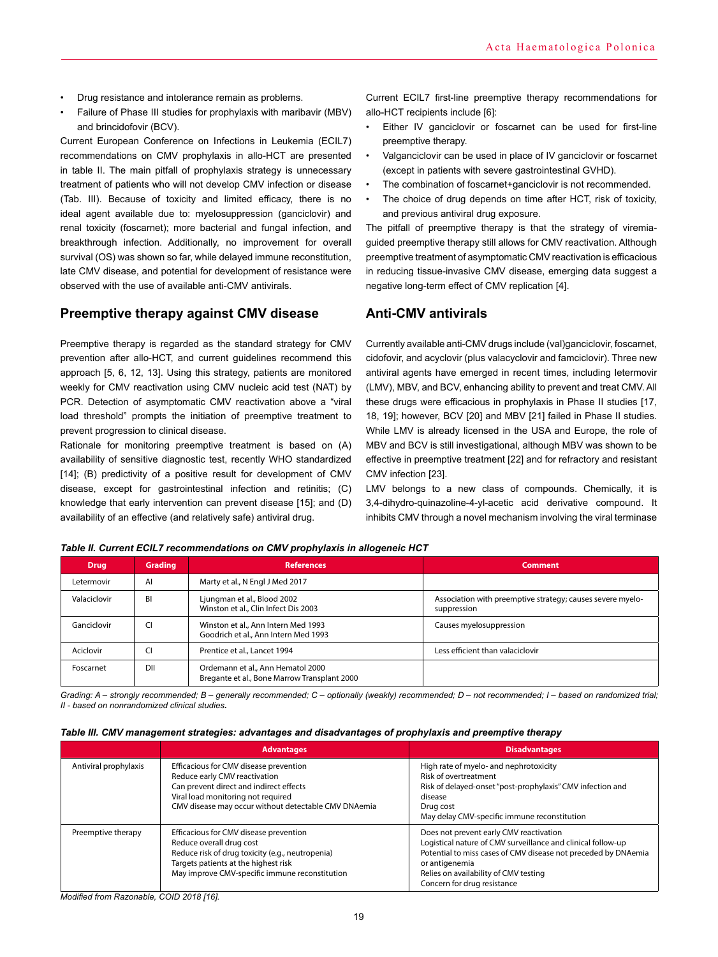- Drug resistance and intolerance remain as problems.
- Failure of Phase III studies for prophylaxis with maribavir (MBV) and brincidofovir (BCV).

Current European Conference on Infections in Leukemia (ECIL7) recommendations on CMV prophylaxis in allo-HCT are presented in table II. The main pitfall of prophylaxis strategy is unnecessary treatment of patients who will not develop CMV infection or disease (Tab. III). Because of toxicity and limited efficacy, there is no ideal agent available due to: myelosuppression (ganciclovir) and renal toxicity (foscarnet); more bacterial and fungal infection, and breakthrough infection. Additionally, no improvement for overall survival (OS) was shown so far, while delayed immune reconstitution, late CMV disease, and potential for development of resistance were observed with the use of available anti-CMV antivirals.

## **Preemptive therapy against CMV disease**

Preemptive therapy is regarded as the standard strategy for CMV prevention after allo-HCT, and current guidelines recommend this approach [5, 6, 12, 13]. Using this strategy, patients are monitored weekly for CMV reactivation using CMV nucleic acid test (NAT) by PCR. Detection of asymptomatic CMV reactivation above a "viral load threshold" prompts the initiation of preemptive treatment to prevent progression to clinical disease.

Rationale for monitoring preemptive treatment is based on (A) availability of sensitive diagnostic test, recently WHO standardized [14]; (B) predictivity of a positive result for development of CMV disease, except for gastrointestinal infection and retinitis; (C) knowledge that early intervention can prevent disease [15]; and (D) availability of an effective (and relatively safe) antiviral drug.

Current ECIL7 first-line preemptive therapy recommendations for allo-HCT recipients include [6]:

- Either IV ganciclovir or foscarnet can be used for first-line preemptive therapy.
- Valganciclovir can be used in place of IV ganciclovir or foscarnet (except in patients with severe gastrointestinal GVHD).
- The combination of foscarnet+ganciclovir is not recommended.
- The choice of drug depends on time after HCT, risk of toxicity, and previous antiviral drug exposure.

The pitfall of preemptive therapy is that the strategy of viremiaguided preemptive therapy still allows for CMV reactivation. Although preemptive treatment of asymptomatic CMV reactivation is efficacious in reducing tissue-invasive CMV disease, emerging data suggest a negative long-term effect of CMV replication [4].

## **Anti-CMV antivirals**

Currently available anti-CMV drugs include (val)ganciclovir, foscarnet, cidofovir, and acyclovir (plus valacyclovir and famciclovir). Three new antiviral agents have emerged in recent times, including letermovir (LMV), MBV, and BCV, enhancing ability to prevent and treat CMV. All these drugs were efficacious in prophylaxis in Phase II studies [17, 18, 19]; however, BCV [20] and MBV [21] failed in Phase II studies. While LMV is already licensed in the USA and Europe, the role of MBV and BCV is still investigational, although MBV was shown to be effective in preemptive treatment [22] and for refractory and resistant CMV infection [23].

LMV belongs to a new class of compounds. Chemically, it is 3,4-dihydro-quinazoline-4-yl-acetic acid derivative compound. It inhibits CMV through a novel mechanism involving the viral terminase

| <b>Drug</b>  | <b>Grading</b> | <b>References</b>                                                                 | <b>Comment</b>                                                            |
|--------------|----------------|-----------------------------------------------------------------------------------|---------------------------------------------------------------------------|
| Letermovir   | AI             | Marty et al., N Engl J Med 2017                                                   |                                                                           |
| Valaciclovir | ΒI             | Ljungman et al., Blood 2002<br>Winston et al., Clin Infect Dis 2003               | Association with preemptive strategy; causes severe myelo-<br>suppression |
| Ganciclovir  | CI             | Winston et al., Ann Intern Med 1993<br>Goodrich et al., Ann Intern Med 1993       | Causes myelosuppression                                                   |
| Aciclovir    |                | Prentice et al., Lancet 1994                                                      | Less efficient than valaciclovir                                          |
| Foscarnet    | DII            | Ordemann et al., Ann Hematol 2000<br>Bregante et al., Bone Marrow Transplant 2000 |                                                                           |

*Table II. Current ECIL7 recommendations on CMV prophylaxis in allogeneic HCT*

*Grading: A – strongly recommended; B – generally recommended; C – optionally (weakly) recommended; D – not recommended; I – based on randomized trial; II - based on nonrandomized clinical studies.*

| Table III. CMV management strategies: advantages and disadvantages of prophylaxis and preemptive therapy |  |  |  |  |  |  |  |  |
|----------------------------------------------------------------------------------------------------------|--|--|--|--|--|--|--|--|
|----------------------------------------------------------------------------------------------------------|--|--|--|--|--|--|--|--|

|                       | <b>Advantages</b>                                                                                                                                                                                                | <b>Disadvantages</b>                                                                                                                                                                                                                                                |
|-----------------------|------------------------------------------------------------------------------------------------------------------------------------------------------------------------------------------------------------------|---------------------------------------------------------------------------------------------------------------------------------------------------------------------------------------------------------------------------------------------------------------------|
| Antiviral prophylaxis | Efficacious for CMV disease prevention<br>Reduce early CMV reactivation<br>Can prevent direct and indirect effects<br>Viral load monitoring not required<br>CMV disease may occur without detectable CMV DNAemia | High rate of myelo- and nephrotoxicity<br>Risk of overtreatment<br>Risk of delayed-onset "post-prophylaxis" CMV infection and<br>disease<br>Drug cost<br>May delay CMV-specific immune reconstitution                                                               |
| Preemptive therapy    | Efficacious for CMV disease prevention<br>Reduce overall drug cost<br>Reduce risk of drug toxicity (e.g., neutropenia)<br>Targets patients at the highest risk<br>May improve CMV-specific immune reconstitution | Does not prevent early CMV reactivation<br>Logistical nature of CMV surveillance and clinical follow-up<br>Potential to miss cases of CMV disease not preceded by DNAemia<br>or antigenemia<br>Relies on availability of CMV testing<br>Concern for drug resistance |

*Modified from Razonable, COID 2018 [16].*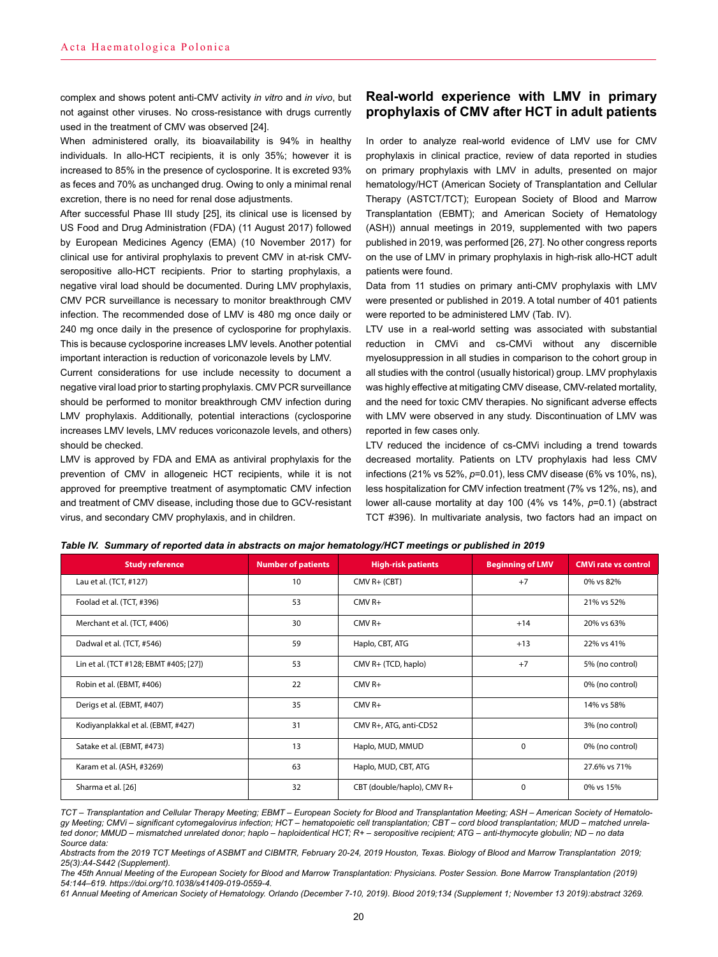complex and shows potent anti-CMV activity *in vitro* and *in vivo*, but not against other viruses. No cross-resistance with drugs currently used in the treatment of CMV was observed [24].

When administered orally, its bioavailability is 94% in healthy individuals. In allo-HCT recipients, it is only 35%; however it is increased to 85% in the presence of cyclosporine. It is excreted 93% as feces and 70% as unchanged drug. Owing to only a minimal renal excretion, there is no need for renal dose adjustments.

After successful Phase III study [25], its clinical use is licensed by US Food and Drug Administration (FDA) (11 August 2017) followed by European Medicines Agency (EMA) (10 November 2017) for clinical use for antiviral prophylaxis to prevent CMV in at-risk CMVseropositive allo-HCT recipients. Prior to starting prophylaxis, a negative viral load should be documented. During LMV prophylaxis, CMV PCR surveillance is necessary to monitor breakthrough CMV infection. The recommended dose of LMV is 480 mg once daily or 240 mg once daily in the presence of cyclosporine for prophylaxis. This is because cyclosporine increases LMV levels. Another potential important interaction is reduction of voriconazole levels by LMV.

Current considerations for use include necessity to document a negative viral load prior to starting prophylaxis. CMV PCR surveillance should be performed to monitor breakthrough CMV infection during LMV prophylaxis. Additionally, potential interactions (cyclosporine increases LMV levels, LMV reduces voriconazole levels, and others) should be checked.

LMV is approved by FDA and EMA as antiviral prophylaxis for the prevention of CMV in allogeneic HCT recipients, while it is not approved for preemptive treatment of asymptomatic CMV infection and treatment of CMV disease, including those due to GCV-resistant virus, and secondary CMV prophylaxis, and in children.

## **Real-world experience with LMV in primary prophylaxis of CMV after HCT in adult patients**

In order to analyze real-world evidence of LMV use for CMV prophylaxis in clinical practice, review of data reported in studies on primary prophylaxis with LMV in adults, presented on major hematology/HCT (American Society of Transplantation and Cellular Therapy (ASTCT/TCT); European Society of Blood and Marrow Transplantation (EBMT); and American Society of Hematology (ASH)) annual meetings in 2019, supplemented with two papers published in 2019, was performed [26, 27]. No other congress reports on the use of LMV in primary prophylaxis in high-risk allo-HCT adult patients were found.

Data from 11 studies on primary anti-CMV prophylaxis with LMV were presented or published in 2019. A total number of 401 patients were reported to be administered LMV (Tab. IV).

LTV use in a real-world setting was associated with substantial reduction in CMVi and cs-CMVi without any discernible myelosuppression in all studies in comparison to the cohort group in all studies with the control (usually historical) group. LMV prophylaxis was highly effective at mitigating CMV disease, CMV-related mortality, and the need for toxic CMV therapies. No significant adverse effects with LMV were observed in any study. Discontinuation of LMV was reported in few cases only.

LTV reduced the incidence of cs-CMVi including a trend towards decreased mortality. Patients on LTV prophylaxis had less CMV infections (21% vs 52%, *p*=0.01), less CMV disease (6% vs 10%, ns), less hospitalization for CMV infection treatment (7% vs 12%, ns), and lower all-cause mortality at day 100 (4% vs 14%, *p*=0.1) (abstract TCT #396). In multivariate analysis, two factors had an impact on

| <b>Study reference</b>                 | <b>Number of patients</b> | <b>High-risk patients</b>  | <b>Beginning of LMV</b> | <b>CMVi rate vs control</b> |
|----------------------------------------|---------------------------|----------------------------|-------------------------|-----------------------------|
| Lau et al. (TCT, #127)                 | 10                        | $CMV R+ (CBT)$             | $+7$                    | 0% vs 82%                   |
| Foolad et al. (TCT, #396)              | 53                        | $CMV R+$                   |                         | 21% vs 52%                  |
| Merchant et al. (TCT, #406)            | 30                        | $CMV R+$                   | $+14$                   | 20% vs 63%                  |
| Dadwal et al. (TCT, #546)              | 59                        | Haplo, CBT, ATG            | $+13$                   | 22% vs 41%                  |
| Lin et al. (TCT #128; EBMT #405; [27]) | 53                        | CMV R+ (TCD, haplo)        | $+7$                    | 5% (no control)             |
| Robin et al. (EBMT, #406)              | 22                        | $CMV$ R+                   |                         | 0% (no control)             |
| Derigs et al. (EBMT, #407)             | 35                        | $CMV$ R+                   |                         | 14% vs 58%                  |
| Kodiyanplakkal et al. (EBMT, #427)     | 31                        | CMV R+, ATG, anti-CD52     |                         | 3% (no control)             |
| Satake et al. (EBMT, #473)             | 13                        | Haplo, MUD, MMUD           | $\Omega$                | 0% (no control)             |
| Karam et al. (ASH, #3269)              | 63                        | Haplo, MUD, CBT, ATG       |                         | 27.6% vs 71%                |
| Sharma et al. [26]                     | 32                        | CBT (double/haplo), CMV R+ | $\Omega$                | 0% vs 15%                   |

#### *Table IV. Summary of reported data in abstracts on major hematology/HCT meetings or published in 2019*

*The 45th Annual Meeting of the European Society for Blood and Marrow Transplantation: Physicians. Poster Session. Bone Marrow Transplantation (2019) 54:144–619. https://doi.org/10.1038/s41409-019-0559-4.*

*61 Annual Meeting of American Society of Hematology. Orlando (December 7-10, 2019). Blood 2019;134 (Supplement 1; November 13 2019):abstract 3269.*

*TCT – Transplantation and Cellular Therapy Meeting; EBMT – European Society for Blood and Transplantation Meeting; ASH – American Society of Hematology Meeting; CMVi – significant cytomegalovirus infection; HCT – hematopoietic cell transplantation; CBT – cord blood transplantation; MUD – matched unrelated donor; MMUD – mismatched unrelated donor; haplo – haploidentical HCT; R+ – seropositive recipient; ATG – anti-thymocyte globulin; ND – no data Source data:* 

*Abstracts from the 2019 TCT Meetings of ASBMT and CIBMTR, February 20-24, 2019 Houston, Texas. Biology of Blood and Marrow Transplantation 2019; 25(3):A4-S442 (Supplement).*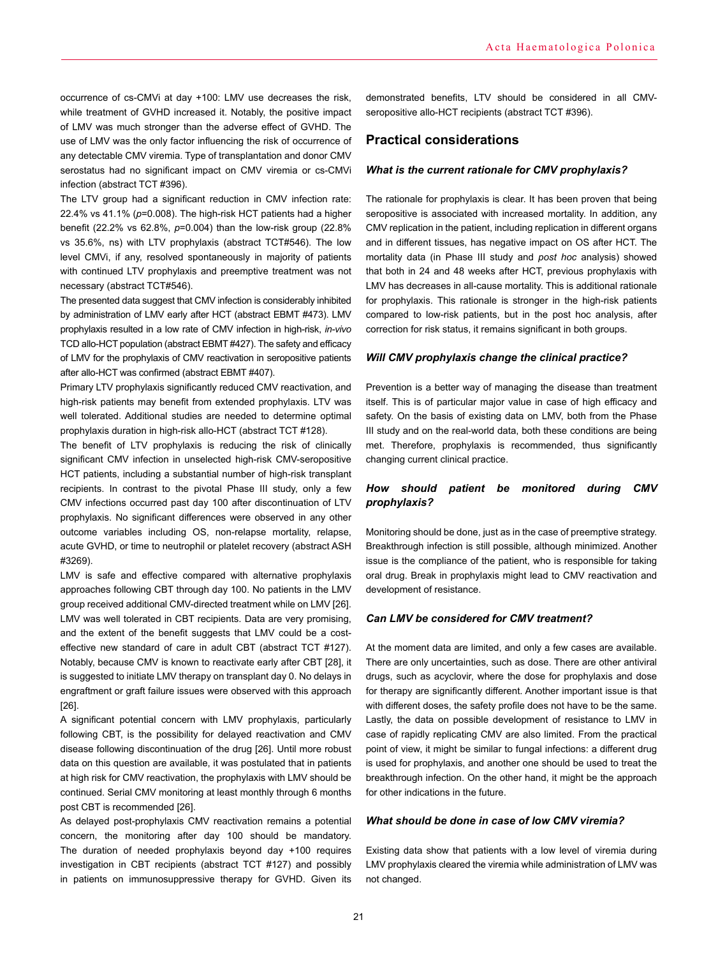occurrence of cs-CMVi at day +100: LMV use decreases the risk, while treatment of GVHD increased it. Notably, the positive impact of LMV was much stronger than the adverse effect of GVHD. The use of LMV was the only factor influencing the risk of occurrence of any detectable CMV viremia. Type of transplantation and donor CMV serostatus had no significant impact on CMV viremia or cs-CMVi infection (abstract TCT #396).

The LTV group had a significant reduction in CMV infection rate: 22.4% vs 41.1% (*p*=0.008). The high-risk HCT patients had a higher benefit (22.2% vs 62.8%, *p*=0.004) than the low-risk group (22.8% vs 35.6%, ns) with LTV prophylaxis (abstract TCT#546). The low level CMVi, if any, resolved spontaneously in majority of patients with continued LTV prophylaxis and preemptive treatment was not necessary (abstract TCT#546).

The presented data suggest that CMV infection is considerably inhibited by administration of LMV early after HCT (abstract EBMT #473). LMV prophylaxis resulted in a low rate of CMV infection in high-risk, *in-vivo* TCD allo-HCT population (abstract EBMT #427). The safety and efficacy of LMV for the prophylaxis of CMV reactivation in seropositive patients after allo-HCT was confirmed (abstract EBMT #407).

Primary LTV prophylaxis significantly reduced CMV reactivation, and high-risk patients may benefit from extended prophylaxis. LTV was well tolerated. Additional studies are needed to determine optimal prophylaxis duration in high-risk allo-HCT (abstract TCT #128).

The benefit of LTV prophylaxis is reducing the risk of clinically significant CMV infection in unselected high-risk CMV-seropositive HCT patients, including a substantial number of high-risk transplant recipients. In contrast to the pivotal Phase III study, only a few CMV infections occurred past day 100 after discontinuation of LTV prophylaxis. No significant differences were observed in any other outcome variables including OS, non-relapse mortality, relapse, acute GVHD, or time to neutrophil or platelet recovery (abstract ASH #3269).

LMV is safe and effective compared with alternative prophylaxis approaches following CBT through day 100. No patients in the LMV group received additional CMV-directed treatment while on LMV [26]. LMV was well tolerated in CBT recipients. Data are very promising, and the extent of the benefit suggests that LMV could be a costeffective new standard of care in adult CBT (abstract TCT #127). Notably, because CMV is known to reactivate early after CBT [28], it is suggested to initiate LMV therapy on transplant day 0. No delays in engraftment or graft failure issues were observed with this approach [26].

A significant potential concern with LMV prophylaxis, particularly following CBT, is the possibility for delayed reactivation and CMV disease following discontinuation of the drug [26]. Until more robust data on this question are available, it was postulated that in patients at high risk for CMV reactivation, the prophylaxis with LMV should be continued. Serial CMV monitoring at least monthly through 6 months post CBT is recommended [26].

As delayed post-prophylaxis CMV reactivation remains a potential concern, the monitoring after day 100 should be mandatory. The duration of needed prophylaxis beyond day +100 requires investigation in CBT recipients (abstract TCT #127) and possibly in patients on immunosuppressive therapy for GVHD. Given its demonstrated benefits, LTV should be considered in all CMVseropositive allo-HCT recipients (abstract TCT #396).

## **Practical considerations**

#### *What is the current rationale for CMV prophylaxis?*

The rationale for prophylaxis is clear. It has been proven that being seropositive is associated with increased mortality. In addition, any CMV replication in the patient, including replication in different organs and in different tissues, has negative impact on OS after HCT. The mortality data (in Phase III study and *post hoc* analysis) showed that both in 24 and 48 weeks after HCT, previous prophylaxis with LMV has decreases in all-cause mortality. This is additional rationale for prophylaxis. This rationale is stronger in the high-risk patients compared to low-risk patients, but in the post hoc analysis, after correction for risk status, it remains significant in both groups.

### *Will CMV prophylaxis change the clinical practice?*

Prevention is a better way of managing the disease than treatment itself. This is of particular major value in case of high efficacy and safety. On the basis of existing data on LMV, both from the Phase III study and on the real-world data, both these conditions are being met. Therefore, prophylaxis is recommended, thus significantly changing current clinical practice.

## *How should patient be monitored during CMV prophylaxis?*

Monitoring should be done, just as in the case of preemptive strategy. Breakthrough infection is still possible, although minimized. Another issue is the compliance of the patient, who is responsible for taking oral drug. Break in prophylaxis might lead to CMV reactivation and development of resistance.

## *Can LMV be considered for CMV treatment?*

At the moment data are limited, and only a few cases are available. There are only uncertainties, such as dose. There are other antiviral drugs, such as acyclovir, where the dose for prophylaxis and dose for therapy are significantly different. Another important issue is that with different doses, the safety profile does not have to be the same. Lastly, the data on possible development of resistance to LMV in case of rapidly replicating CMV are also limited. From the practical point of view, it might be similar to fungal infections: a different drug is used for prophylaxis, and another one should be used to treat the breakthrough infection. On the other hand, it might be the approach for other indications in the future.

## *What should be done in case of low CMV viremia?*

Existing data show that patients with a low level of viremia during LMV prophylaxis cleared the viremia while administration of LMV was not changed.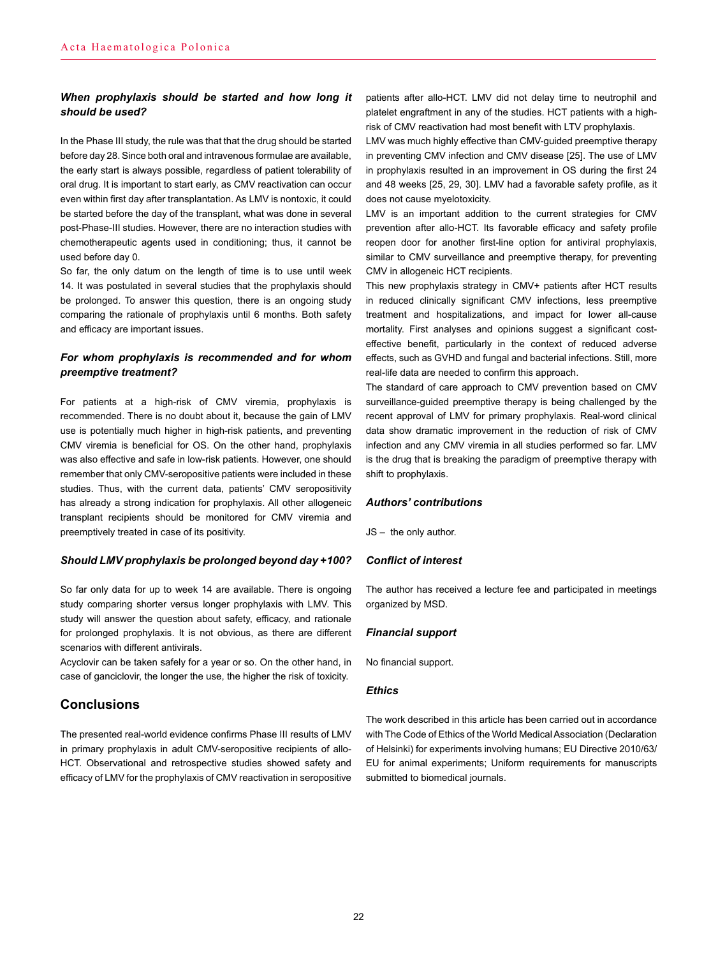## *When prophylaxis should be started and how long it should be used?*

In the Phase III study, the rule was that that the drug should be started before day 28. Since both oral and intravenous formulae are available, the early start is always possible, regardless of patient tolerability of oral drug. It is important to start early, as CMV reactivation can occur even within first day after transplantation. As LMV is nontoxic, it could be started before the day of the transplant, what was done in several post-Phase-III studies. However, there are no interaction studies with chemotherapeutic agents used in conditioning; thus, it cannot be used before day 0.

So far, the only datum on the length of time is to use until week 14. It was postulated in several studies that the prophylaxis should be prolonged. To answer this question, there is an ongoing study comparing the rationale of prophylaxis until 6 months. Both safety and efficacy are important issues.

## *For whom prophylaxis is recommended and for whom preemptive treatment?*

For patients at a high-risk of CMV viremia, prophylaxis is recommended. There is no doubt about it, because the gain of LMV use is potentially much higher in high-risk patients, and preventing CMV viremia is beneficial for OS. On the other hand, prophylaxis was also effective and safe in low-risk patients. However, one should remember that only CMV-seropositive patients were included in these studies. Thus, with the current data, patients' CMV seropositivity has already a strong indication for prophylaxis. All other allogeneic transplant recipients should be monitored for CMV viremia and preemptively treated in case of its positivity.

### *Should LMV prophylaxis be prolonged beyond day* **+***100?*

So far only data for up to week 14 are available. There is ongoing study comparing shorter versus longer prophylaxis with LMV. This study will answer the question about safety, efficacy, and rationale for prolonged prophylaxis. It is not obvious, as there are different scenarios with different antivirals.

Acyclovir can be taken safely for a year or so. On the other hand, in case of ganciclovir, the longer the use, the higher the risk of toxicity.

# **Conclusions**

The presented real-world evidence confirms Phase III results of LMV in primary prophylaxis in adult CMV-seropositive recipients of allo-HCT. Observational and retrospective studies showed safety and efficacy of LMV for the prophylaxis of CMV reactivation in seropositive patients after allo-HCT. LMV did not delay time to neutrophil and platelet engraftment in any of the studies. HCT patients with a highrisk of CMV reactivation had most benefit with LTV prophylaxis.

LMV was much highly effective than CMV-guided preemptive therapy in preventing CMV infection and CMV disease [25]. The use of LMV in prophylaxis resulted in an improvement in OS during the first 24 and 48 weeks [25, 29, 30]. LMV had a favorable safety profile, as it does not cause myelotoxicity.

LMV is an important addition to the current strategies for CMV prevention after allo-HCT. Its favorable efficacy and safety profile reopen door for another first-line option for antiviral prophylaxis, similar to CMV surveillance and preemptive therapy, for preventing CMV in allogeneic HCT recipients.

This new prophylaxis strategy in CMV+ patients after HCT results in reduced clinically significant CMV infections, less preemptive treatment and hospitalizations, and impact for lower all-cause mortality. First analyses and opinions suggest a significant costeffective benefit, particularly in the context of reduced adverse effects, such as GVHD and fungal and bacterial infections. Still, more real-life data are needed to confirm this approach.

The standard of care approach to CMV prevention based on CMV surveillance-guided preemptive therapy is being challenged by the recent approval of LMV for primary prophylaxis. Real-word clinical data show dramatic improvement in the reduction of risk of CMV infection and any CMV viremia in all studies performed so far. LMV is the drug that is breaking the paradigm of preemptive therapy with shift to prophylaxis.

### *Authors' contributions*

JS – the only author.

### *Conflict of interest*

The author has received a lecture fee and participated in meetings organized by MSD.

### *Financial support*

No financial support.

### *Ethics*

The work described in this article has been carried out in accordance with The Code of Ethics of the World Medical Association (Declaration of Helsinki) for experiments involving humans; EU Directive 2010/63/ EU for animal experiments; Uniform requirements for manuscripts submitted to biomedical journals.